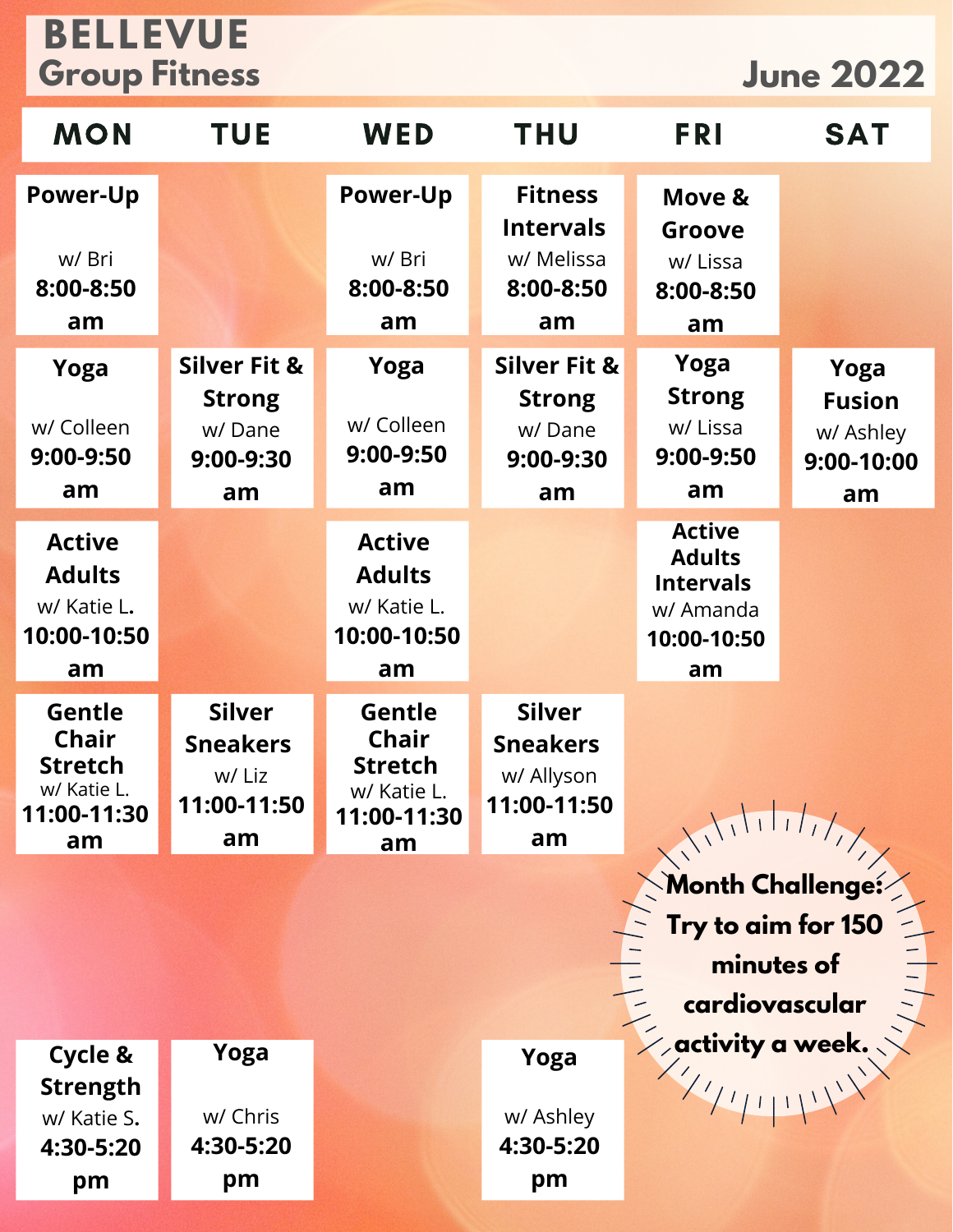## **BELLEVUE Group Fitness June 2022**

| <b>MON</b>                                                                          | <b>TUE</b>                                                            | <b>WED</b>                                                                   | <b>THU</b>                                                            | <b>FRI</b>                                                                           | <b>SAT</b>                                             |
|-------------------------------------------------------------------------------------|-----------------------------------------------------------------------|------------------------------------------------------------------------------|-----------------------------------------------------------------------|--------------------------------------------------------------------------------------|--------------------------------------------------------|
| <b>Power-Up</b><br>w/ Bri<br>8:00-8:50<br>am                                        |                                                                       | <b>Power-Up</b><br>w/ Bri<br>8:00-8:50<br>am                                 | <b>Fitness</b><br><b>Intervals</b><br>w/ Melissa<br>8:00-8:50<br>am   | Move &<br>Groove<br>w/ Lissa<br>8:00-8:50<br>am                                      |                                                        |
| Yoga<br>w/ Colleen<br>9:00-9:50<br>am                                               | <b>Silver Fit &amp;</b><br><b>Strong</b><br>w/Dane<br>9:00-9:30<br>am | Yoga<br>w/ Colleen<br>9:00-9:50<br>am                                        | <b>Silver Fit &amp;</b><br><b>Strong</b><br>w/Dane<br>9:00-9:30<br>am | Yoga<br><b>Strong</b><br>w/ Lissa<br>9:00-9:50<br>am                                 | Yoga<br><b>Fusion</b><br>w/ Ashley<br>9:00-10:00<br>am |
| <b>Active</b><br><b>Adults</b><br>w/ Katie L.<br>10:00-10:50<br>am                  |                                                                       | <b>Active</b><br><b>Adults</b><br>w/ Katie L.<br>10:00-10:50<br>am           |                                                                       | <b>Active</b><br><b>Adults</b><br><b>Intervals</b><br>w/ Amanda<br>10:00-10:50<br>am |                                                        |
| <b>Gentle</b><br><b>Chair</b><br><b>Stretch</b><br>w/ Katie L.<br>11:00-11:30<br>am | <b>Silver</b><br><b>Sneakers</b><br>w/ Liz<br>11:00-11:50<br>am       | Gentle<br><b>Chair</b><br><b>Stretch</b><br>w/ Katie L.<br>11:00-11:30<br>am | <b>Silver</b><br><b>Sneakers</b><br>w/ Allyson<br>11:00-11:50<br>am   |                                                                                      |                                                        |
|                                                                                     |                                                                       | Month Challenge:<br>Try to aim for 150<br>minutes of<br>ardiovas             |                                                                       |                                                                                      |                                                        |
| Cycle &<br><b>Strength</b><br>w/ Katie S.<br>4:30-5:20<br>pm                        | Yoga<br>w/ Chris<br>4:30-5:20<br>pm                                   |                                                                              | Yoga<br>w/ Ashley<br>4:30-5:20<br>pm                                  |                                                                                      |                                                        |